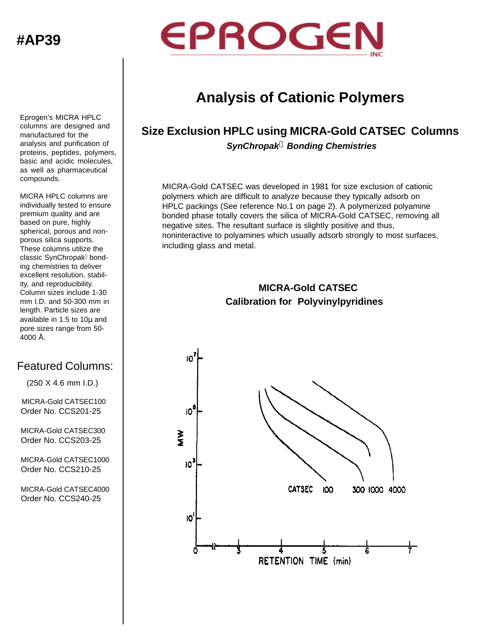**#AP39**



## **Analysis of Cationic Polymers**

## **Size Exclusion HPLC using MICRA-Gold CATSEC Columns** *SynChropak***â** *Bonding Chemistries*

MICRA-Gold CATSEC was developed in 1981 for size exclusion of cationic polymers which are difficult to analyze because they typically adsorb on HPLC packings (See reference No.1 on page 2). A polymerized polyamine bonded phase totally covers the silica of MICRA-Gold CATSEC, removing all negative sites. The resultant surface is slightly positive and thus, noninteractive to polyamines which usually adsorb strongly to most surfaces, including glass and metal.

## **Calibration for Polyvinylpyridines MICRA-Gold CATSEC**



Eprogen's MICRA HPLC columns are designed and manufactured for the analysis and purification of proteins, peptides, polymers, basic and acidic molecules, as well as pharmaceutical compounds.

MICRA HPLC columns are individually tested to ensure premium quality and are based on pure, highly spherical, porous and nonporous silica supports. These columns utilize the classic SynChropak<sup>®</sup> bonding chemistries to deliver excellent resolution, stability, and reproducibility. Column sizes include 1-30 mm I.D. and 50-300 mm in length. Particle sizes are available in 1.5 to 10μ and pore sizes range from 50- 4000 Å.

## Featured Columns:

(250 X 4.6 mm I.D.)

 MICRA-Gold CATSEC100 Order No. CCS201-25

 MICRA-Gold CATSEC300 Order No. CCS203-25

 MICRA-Gold CATSEC1000 Order No. CCS210-25

 MICRA-Gold CATSEC4000 Order No. CCS240-25